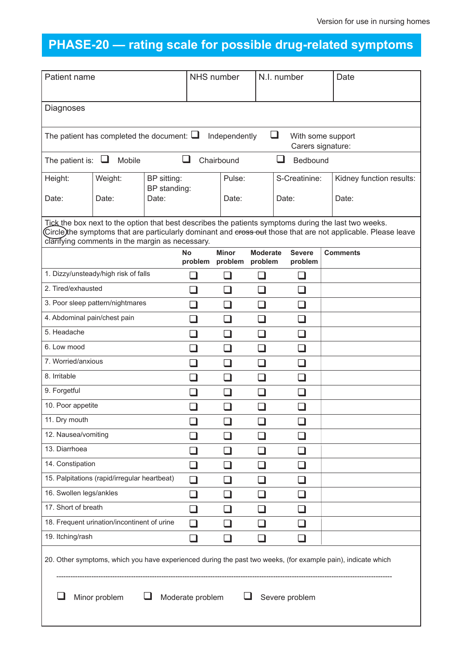## **PHASE-20 — rating scale for possible drug-related symptoms**

| Patient name                                                                                                                                                                                                                                                                       |         |                             | NHS number    |                                 |                 | N.I. number                 | Date                     |
|------------------------------------------------------------------------------------------------------------------------------------------------------------------------------------------------------------------------------------------------------------------------------------|---------|-----------------------------|---------------|---------------------------------|-----------------|-----------------------------|--------------------------|
| Diagnoses                                                                                                                                                                                                                                                                          |         |                             |               |                                 |                 |                             |                          |
| $\Box$<br>The patient has completed the document: $\square$<br>Independently<br>With some support<br>Carers signature:                                                                                                                                                             |         |                             |               |                                 |                 |                             |                          |
| Mobile<br>ப<br>Chairbound<br>Bedbound<br>The patient is: $\Box$                                                                                                                                                                                                                    |         |                             |               |                                 |                 |                             |                          |
| Height:                                                                                                                                                                                                                                                                            | Weight: | BP sitting:<br>BP standing: | Pulse:        |                                 |                 | S-Creatinine:               | Kidney function results: |
| Date:                                                                                                                                                                                                                                                                              | Date:   | Date:                       |               |                                 |                 | Date:                       | Date:                    |
| Tick the box next to the option that best describes the patients symptoms during the last two weeks.<br>Circle)the symptoms that are particularly dominant and <del>cross out</del> those that are not applicable. Please leave<br>clarifying comments in the margin as necessary. |         |                             |               |                                 |                 |                             |                          |
|                                                                                                                                                                                                                                                                                    |         |                             | No<br>problem | <b>Minor</b><br>problem problem | <b>Moderate</b> | <b>Severe</b><br>problem    | <b>Comments</b>          |
| 1. Dizzy/unsteady/high risk of falls                                                                                                                                                                                                                                               |         |                             |               |                                 | . I             |                             |                          |
| 2. Tired/exhausted                                                                                                                                                                                                                                                                 |         |                             | ┓             | - 1                             | ⊔               | ப                           |                          |
| 3. Poor sleep pattern/nightmares                                                                                                                                                                                                                                                   |         |                             | $\Box$        | $\Box$                          | $\Box$          | ப                           |                          |
| 4. Abdominal pain/chest pain                                                                                                                                                                                                                                                       |         |                             | $\Box$        | a di                            | ❏               | ❏                           |                          |
| 5. Headache                                                                                                                                                                                                                                                                        |         |                             | П             | a di                            | $\Box$          | $\Box$                      |                          |
| 6. Low mood                                                                                                                                                                                                                                                                        |         |                             | П             | - 1                             | $\Box$          | $\Box$                      |                          |
| 7. Worried/anxious                                                                                                                                                                                                                                                                 |         |                             | a di          | $\Box$                          | ⊔               | $\sqcup$                    |                          |
| 8. Irritable                                                                                                                                                                                                                                                                       |         |                             | H             | a di                            | П               | ப                           |                          |
| 9. Forgetful                                                                                                                                                                                                                                                                       |         |                             | . I           | - 1                             | $\Box$          | $\overline{\phantom{0}}$    |                          |
| 10. Poor appetite                                                                                                                                                                                                                                                                  |         |                             | . I           |                                 | . I             | $\mathcal{L}$               |                          |
| 11. Dry mouth                                                                                                                                                                                                                                                                      |         |                             |               |                                 |                 |                             |                          |
| 12. Nausea/vomiting                                                                                                                                                                                                                                                                |         |                             |               |                                 |                 |                             |                          |
| 13. Diarrhoea                                                                                                                                                                                                                                                                      |         |                             |               |                                 | . I             | $\overline{\phantom{0}}$    |                          |
| 14. Constipation                                                                                                                                                                                                                                                                   |         |                             |               |                                 |                 |                             |                          |
| 15. Palpitations (rapid/irregular heartbeat)                                                                                                                                                                                                                                       |         |                             | ⊔             |                                 |                 | a ka                        |                          |
| 16. Swollen legs/ankles                                                                                                                                                                                                                                                            |         |                             | $\Box$        | $\mathcal{L}$                   | . I             | - 1                         |                          |
| 17. Short of breath                                                                                                                                                                                                                                                                |         |                             | ⊔             |                                 | $\mathbf{r}$    | $\mathbf{r}$                |                          |
| 18. Frequent urination/incontinent of urine                                                                                                                                                                                                                                        |         |                             | ⊔             | - 1                             | $\mathbf{r}$    | $\mathcal{L}_{\mathcal{A}}$ |                          |
| 19. Itching/rash                                                                                                                                                                                                                                                                   |         |                             | ×.            |                                 | a di ser        | n l                         |                          |
| 20. Other symptoms, which you have experienced during the past two weeks, (for example pain), indicate which                                                                                                                                                                       |         |                             |               |                                 |                 |                             |                          |
| Minor problem<br>Moderate problem<br>Severe problem                                                                                                                                                                                                                                |         |                             |               |                                 |                 |                             |                          |